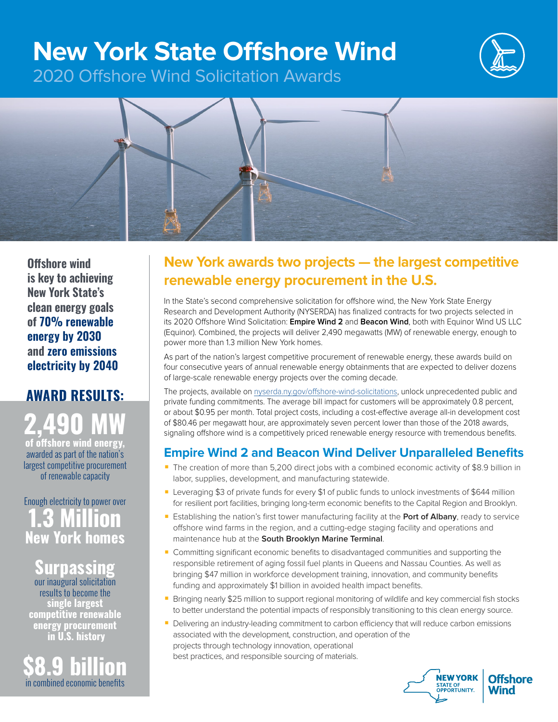# **New York State Offshore Wind**



2020 Offshore Wind Solicitation Awards



**Offshore wind is key to achieving New York State's clean energy goals of 70% renewable energy by 2030 and zero emissions electricity by 2040**

## **AWARD RESULTS: 2,490 MW**

**of offshore wind energy,**  awarded as part of the nation's largest competitive procurement of renewable capacity

Enough electricity to power over **1.3 Million New York homes**

**Surpassing**  our inaugural solicitation results to become the **single largest competitive renewable energy procurement in U.S. history**

**\$8.9 billion** in combined economic benefits

### **New York awards two projects — the largest competitive renewable energy procurement in the U.S.**

In the State's second comprehensive solicitation for offshore wind, the New York State Energy Research and Development Authority (NYSERDA) has finalized contracts for two projects selected in its 2020 Offshore Wind Solicitation: **Empire Wind 2** and **Beacon Wind**, both with Equinor Wind US LLC (Equinor). Combined, the projects will deliver 2,490 megawatts (MW) of renewable energy, enough to power more than 1.3 million New York homes.

As part of the nation's largest competitive procurement of renewable energy, these awards build on four consecutive years of annual renewable energy obtainments that are expected to deliver dozens of large-scale renewable energy projects over the coming decade.

The projects, available on [nyserda.ny.gov/offshore-wind-solicitations](http://nyserda.ny.gov/offshore-wind-solicitations), unlock unprecedented public and private funding commitments. The average bill impact for customers will be approximately 0.8 percent, or about \$0.95 per month. Total project costs, including a cost-effective average all-in development cost of \$80.46 per megawatt hour, are approximately seven percent lower than those of the 2018 awards, signaling offshore wind is a competitively priced renewable energy resource with tremendous benefits.

#### **Empire Wind 2 and Beacon Wind Deliver Unparalleled Benefits**

- The creation of more than 5,200 direct jobs with a combined economic activity of \$8.9 billion in labor, supplies, development, and manufacturing statewide.
- Leveraging \$3 of private funds for every \$1 of public funds to unlock investments of \$644 million for resilient port facilities, bringing long-term economic benefits to the Capital Region and Brooklyn.
- Establishing the nation's first tower manufacturing facility at the Port of Albany, ready to service offshore wind farms in the region, and a cutting-edge staging facility and operations and maintenance hub at the **South Brooklyn Marine Terminal**.
- Committing significant economic benefits to disadvantaged communities and supporting the responsible retirement of aging fossil fuel plants in Queens and Nassau Counties. As well as bringing \$47 million in workforce development training, innovation, and community benefits funding and approximately \$1 billion in avoided health impact benefits.
- Bringing nearly \$25 million to support regional monitoring of wildlife and key commercial fish stocks to better understand the potential impacts of responsibly transitioning to this clean energy source.
- Delivering an industry-leading commitment to carbon efficiency that will reduce carbon emissions associated with the development, construction, and operation of the projects through technology innovation, operational best practices, and responsible sourcing of materials.